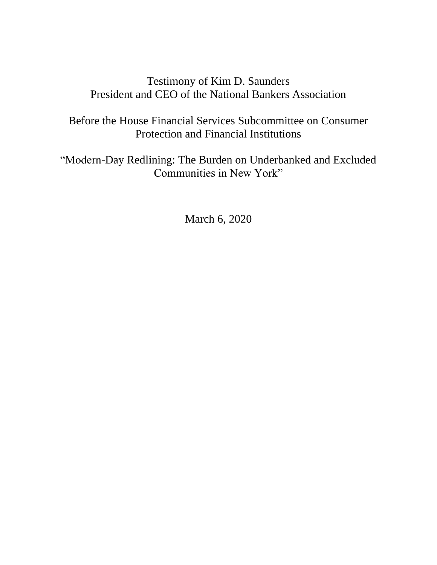# Testimony of Kim D. Saunders President and CEO of the National Bankers Association

Before the House Financial Services Subcommittee on Consumer Protection and Financial Institutions

"Modern-Day Redlining: The Burden on Underbanked and Excluded Communities in New York"

March 6, 2020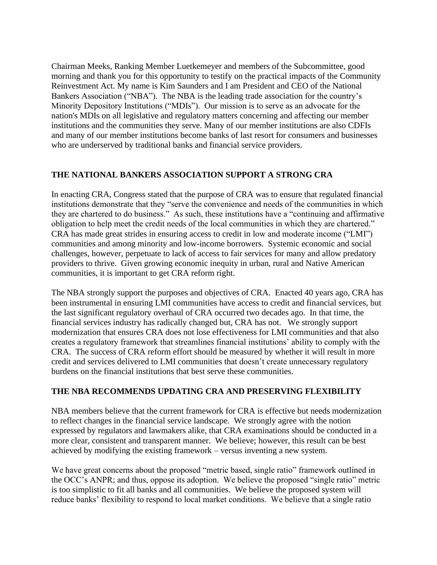Chairman Meeks, Ranking Member Luetkemeyer and members of the Subcommittee, good morning and thank you for this opportunity to testify on the practical impacts of the Community Reinvestment Act. My name is Kim Saunders and I am President and CEO of the National Bankers Association ("NBA"). The NBA is the leading trade association for the country's Minority Depository Institutions ("MDIs"). Our mission is to serve as an advocate for the nation's MDIs on all legislative and regulatory matters concerning and affecting our member institutions and the communities they serve. Many of our member institutions are also CDFIs and many of our member institutions become banks of last resort for consumers and businesses who are underserved by traditional banks and financial service providers.

### **THE NATIONAL BANKERS ASSOCIATION SUPPORT A STRONG CRA**

In enacting CRA, Congress stated that the purpose of CRA was to ensure that regulated financial institutions demonstrate that they "serve the convenience and needs of the communities in which they are chartered to do business." As such, these institutions have a "continuing and affirmative obligation to help meet the credit needs of the local communities in which they are chartered." CRA has made great strides in ensuring access to credit in low and moderate income ("LMI") communities and among minority and low-income borrowers. Systemic economic and social challenges, however, perpetuate to lack of access to fair services for many and allow predatory providers to thrive. Given growing economic inequity in urban, rural and Native American communities, it is important to get CRA reform right.

The NBA strongly support the purposes and objectives of CRA. Enacted 40 years ago, CRA has been instrumental in ensuring LMI communities have access to credit and financial services, but the last significant regulatory overhaul of CRA occurred two decades ago. In that time, the financial services industry has radically changed but, CRA has not. We strongly support modernization that ensures CRA does not lose effectiveness for LMI communities and that also creates a regulatory framework that streamlines financial institutions' ability to comply with the CRA. The success of CRA reform effort should be measured by whether it will result in more credit and services delivered to LMI communities that doesn't create unnecessary regulatory burdens on the financial institutions that best serve these communities.

### **THE NBA RECOMMENDS UPDATING CRA AND PRESERVING FLEXIBILITY**

NBA members believe that the current framework for CRA is effective but needs modernization to reflect changes in the financial service landscape. We strongly agree with the notion expressed by regulators and lawmakers alike, that CRA examinations should be conducted in a more clear, consistent and transparent manner. We believe; however, this result can be best achieved by modifying the existing framework – versus inventing a new system.

We have great concerns about the proposed "metric based, single ratio" framework outlined in the OCC's ANPR; and thus, oppose its adoption. We believe the proposed "single ratio" metric is too simplistic to fit all banks and all communities. We believe the proposed system will reduce banks' flexibility to respond to local market conditions. We believe that a single ratio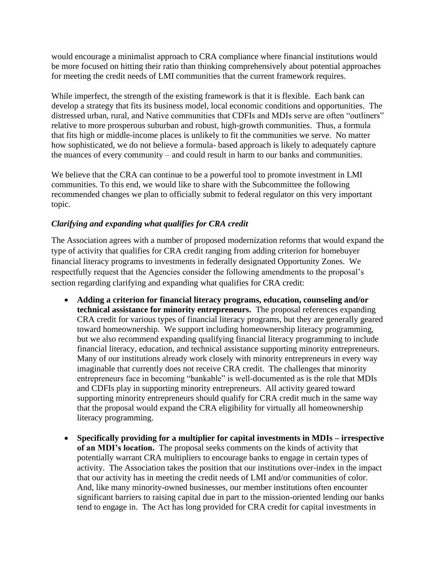would encourage a minimalist approach to CRA compliance where financial institutions would be more focused on hitting their ratio than thinking comprehensively about potential approaches for meeting the credit needs of LMI communities that the current framework requires.

While imperfect, the strength of the existing framework is that it is flexible. Each bank can develop a strategy that fits its business model, local economic conditions and opportunities. The distressed urban, rural, and Native communities that CDFIs and MDIs serve are often "outliners" relative to more prosperous suburban and robust, high-growth communities. Thus, a formula that fits high or middle-income places is unlikely to fit the communities we serve. No matter how sophisticated, we do not believe a formula- based approach is likely to adequately capture the nuances of every community – and could result in harm to our banks and communities.

We believe that the CRA can continue to be a powerful tool to promote investment in LMI communities. To this end, we would like to share with the Subcommittee the following recommended changes we plan to officially submit to federal regulator on this very important topic.

## *Clarifying and expanding what qualifies for CRA credit*

The Association agrees with a number of proposed modernization reforms that would expand the type of activity that qualifies for CRA credit ranging from adding criterion for homebuyer financial literacy programs to investments in federally designated Opportunity Zones. We respectfully request that the Agencies consider the following amendments to the proposal's section regarding clarifying and expanding what qualifies for CRA credit:

- **Adding a criterion for financial literacy programs, education, counseling and/or technical assistance for minority entrepreneurs.** The proposal references expanding CRA credit for various types of financial literacy programs, but they are generally geared toward homeownership. We support including homeownership literacy programming, but we also recommend expanding qualifying financial literacy programming to include financial literacy, education, and technical assistance supporting minority entrepreneurs. Many of our institutions already work closely with minority entrepreneurs in every way imaginable that currently does not receive CRA credit. The challenges that minority entrepreneurs face in becoming "bankable" is well-documented as is the role that MDIs and CDFIs play in supporting minority entrepreneurs. All activity geared toward supporting minority entrepreneurs should qualify for CRA credit much in the same way that the proposal would expand the CRA eligibility for virtually all homeownership literacy programming.
- **Specifically providing for a multiplier for capital investments in MDIs – irrespective of an MDI's location.** The proposal seeks comments on the kinds of activity that potentially warrant CRA multipliers to encourage banks to engage in certain types of activity. The Association takes the position that our institutions over-index in the impact that our activity has in meeting the credit needs of LMI and/or communities of color. And, like many minority-owned businesses, our member institutions often encounter significant barriers to raising capital due in part to the mission-oriented lending our banks tend to engage in. The Act has long provided for CRA credit for capital investments in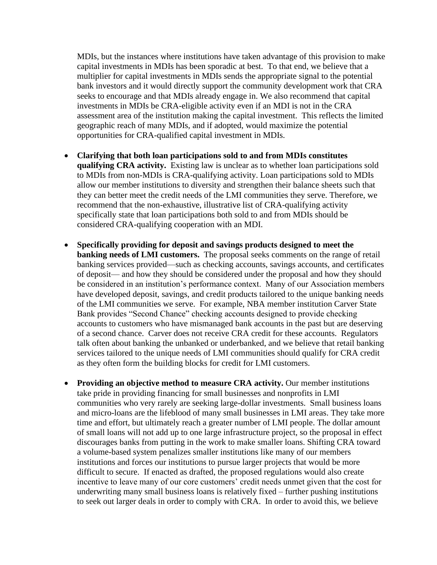MDIs, but the instances where institutions have taken advantage of this provision to make capital investments in MDIs has been sporadic at best. To that end, we believe that a multiplier for capital investments in MDIs sends the appropriate signal to the potential bank investors and it would directly support the community development work that CRA seeks to encourage and that MDIs already engage in. We also recommend that capital investments in MDIs be CRA-eligible activity even if an MDI is not in the CRA assessment area of the institution making the capital investment. This reflects the limited geographic reach of many MDIs, and if adopted, would maximize the potential opportunities for CRA-qualified capital investment in MDIs.

- **Clarifying that both loan participations sold to and from MDIs constitutes qualifying CRA activity.** Existing law is unclear as to whether loan participations sold to MDIs from non-MDIs is CRA-qualifying activity. Loan participations sold to MDIs allow our member institutions to diversity and strengthen their balance sheets such that they can better meet the credit needs of the LMI communities they serve. Therefore, we recommend that the non-exhaustive, illustrative list of CRA-qualifying activity specifically state that loan participations both sold to and from MDIs should be considered CRA-qualifying cooperation with an MDI.
- **Specifically providing for deposit and savings products designed to meet the banking needs of LMI customers.** The proposal seeks comments on the range of retail banking services provided—such as checking accounts, savings accounts, and certificates of deposit— and how they should be considered under the proposal and how they should be considered in an institution's performance context. Many of our Association members have developed deposit, savings, and credit products tailored to the unique banking needs of the LMI communities we serve. For example, NBA member institution Carver State Bank provides "Second Chance" checking accounts designed to provide checking accounts to customers who have mismanaged bank accounts in the past but are deserving of a second chance. Carver does not receive CRA credit for these accounts. Regulators talk often about banking the unbanked or underbanked, and we believe that retail banking services tailored to the unique needs of LMI communities should qualify for CRA credit as they often form the building blocks for credit for LMI customers.
- **Providing an objective method to measure CRA activity.** Our member institutions take pride in providing financing for small businesses and nonprofits in LMI communities who very rarely are seeking large-dollar investments. Small business loans and micro-loans are the lifeblood of many small businesses in LMI areas. They take more time and effort, but ultimately reach a greater number of LMI people. The dollar amount of small loans will not add up to one large infrastructure project, so the proposal in effect discourages banks from putting in the work to make smaller loans. Shifting CRA toward a volume-based system penalizes smaller institutions like many of our members institutions and forces our institutions to pursue larger projects that would be more difficult to secure. If enacted as drafted, the proposed regulations would also create incentive to leave many of our core customers' credit needs unmet given that the cost for underwriting many small business loans is relatively fixed – further pushing institutions to seek out larger deals in order to comply with CRA. In order to avoid this, we believe